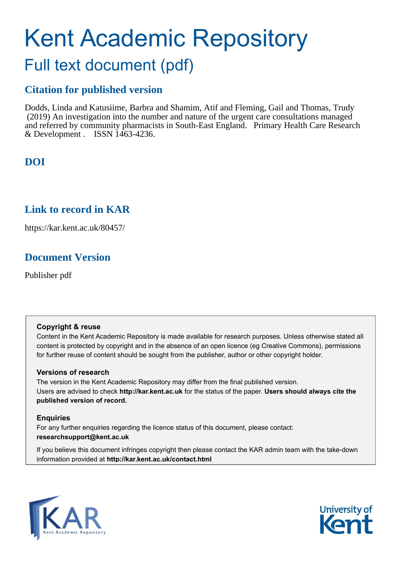# Kent Academic Repository Full text document (pdf)

# **Citation for published version**

Dodds, Linda and Katusiime, Barbra and Shamim, Atif and Fleming, Gail and Thomas, Trudy (2019) An investigation into the number and nature of the urgent care consultations managed and referred by community pharmacists in South-East England. Primary Health Care Research & Development . ISSN 1463-4236.

# **DOI**

# **Link to record in KAR**

https://kar.kent.ac.uk/80457/

# **Document Version**

Publisher pdf

## **Copyright & reuse**

Content in the Kent Academic Repository is made available for research purposes. Unless otherwise stated all content is protected by copyright and in the absence of an open licence (eg Creative Commons), permissions for further reuse of content should be sought from the publisher, author or other copyright holder.

## **Versions of research**

The version in the Kent Academic Repository may differ from the final published version. Users are advised to check **http://kar.kent.ac.uk** for the status of the paper. **Users should always cite the published version of record.**

## **Enquiries**

For any further enquiries regarding the licence status of this document, please contact: **researchsupport@kent.ac.uk**

If you believe this document infringes copyright then please contact the KAR admin team with the take-down information provided at **http://kar.kent.ac.uk/contact.html**



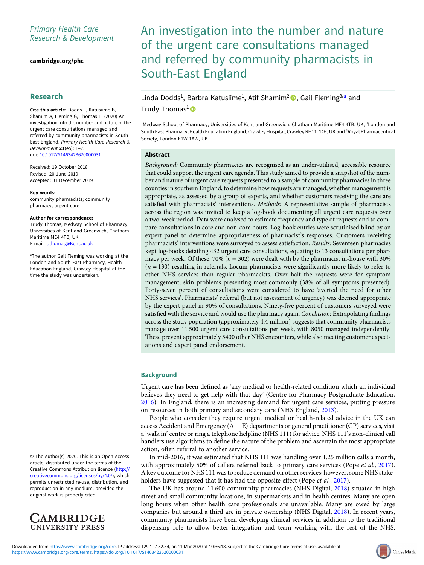## Primary Health Care Research & Development

[cambridge.org/phc](https://www.cambridge.org/phc)

### Research

Cite this article: Dodds L, Katusiime B, Shamim A, Fleming G, Thomas T. (2020) An investigation into the number and nature of the urgent care consultations managed and referred by community pharmacists in South-East England. Primary Health Care Research & Development 21(e5): 1–7. doi: [10.1017/S1463423620000031](https://doi.org/10.1017/S1463423620000031)

Received: 19 October 2018 Revised: 20 June 2019 Accepted: 31 December 2019

#### Key words:

community pharmacists; community pharmacy; urgent care

#### Author for correspondence:

Trudy Thomas, Medway School of Pharmacy, Universities of Kent and Greenwich, Chatham Maritime ME4 4TB, UK. E-mail: [t.thomas@Kent.ac.uk](mailto:t.thomas@Kent.ac.uk)

a The author Gail Fleming was working at the London and South East Pharmacy, Health Education England, Crawley Hospital at the time the study was undertaken.

© The Author(s) 2020. This is an Open Access article, distributed under the terms of the Creative Commons Attribution licence ([http://](http://creativecommons.org/licenses/by/4.0/) [creativecommons.org/licenses/by/4.0/\)](http://creativecommons.org/licenses/by/4.0/), which permits unrestricted re-use, distribution, and reproduction in any medium, provided the original work is properly cited.



# An investigation into the number and nature of the urgent care consultations managed and referred by community pharmacists in South-East England

## Linda Dodds<sup>1</sup>, Barbra Katusiime<sup>1</sup>, Atif Shamim<sup>2</sup> <sup>1</sup>, Gail Fleming<sup>3,a</sup> and Trudy Thomas<sup>1</sup><sup>®</sup>

<sup>1</sup>Medway School of Pharmacy, Universities of Kent and Greenwich, Chatham Maritime ME4 4TB, UK; <sup>2</sup>London and South East Pharmacy, Health Education England, Crawley Hospital, Crawley RH11 7DH, UK and <sup>3</sup>Royal Pharmaceutical Society, London E1W 1AW, UK

#### Abstract

Background: Community pharmacies are recognised as an under-utilised, accessible resource that could support the urgent care agenda. This study aimed to provide a snapshot of the number and nature of urgent care requests presented to a sample of community pharmacies in three counties in southern England, to determine how requests are managed, whether management is appropriate, as assessed by a group of experts, and whether customers receiving the care are satisfied with pharmacists' interventions. Methods: A representative sample of pharmacists across the region was invited to keep a log-book documenting all urgent care requests over a two-week period. Data were analysed to estimate frequency and type of requests and to compare consultations in core and non-core hours. Log-book entries were scrutinised blind by an expert panel to determine appropriateness of pharmacist's responses. Customers receiving pharmacists' interventions were surveyed to assess satisfaction. Results: Seventeen pharmacies kept log-books detailing 432 urgent care consultations, equating to 13 consultations per pharmacy per week. Of these, 70% ( $n = 302$ ) were dealt with by the pharmacist in-house with 30%  $(n = 130)$  resulting in referrals. Locum pharmacists were significantly more likely to refer to other NHS services than regular pharmacists. Over half the requests were for symptom management, skin problems presenting most commonly (38% of all symptoms presented). Forty-seven percent of consultations were considered to have 'averted the need for other NHS services'. Pharmacists' referral (but not assessment of urgency) was deemed appropriate by the expert panel in 90% of consultations. Ninety-five percent of customers surveyed were satisfied with the service and would use the pharmacy again. Conclusion: Extrapolating findings across the study population (approximately 4.4 million) suggests that community pharmacists manage over 11 500 urgent care consultations per week, with 8050 managed independently. These prevent approximately 5400 other NHS encounters, while also meeting customer expectations and expert panel endorsement.

#### **Background**

Urgent care has been defined as 'any medical or health-related condition which an individual believes they need to get help with that day' (Centre for Pharmacy Postgraduate Education, 2016). In England, there is an increasing demand for urgent care services, putting pressure on resources in both primary and secondary care (NHS England, 2013).

People who consider they require urgent medical or health-related advice in the UK can access Accident and Emergency  $(A + E)$  departments or general practitioner (GP) services, visit a 'walk in' centre or ring a telephone helpline (NHS 111) for advice. NHS 111's non-clinical call handlers use algorithms to define the nature of the problem and ascertain the most appropriate action, often referral to another service.

In mid-2016, it was estimated that NHS 111 was handling over 1.25 million calls a month, with approximately 50% of callers referred back to primary care services (Pope *et al.*, 2017). A key outcome for NHS 111 was to reduce demand on other services; however, some NHS stakeholders have suggested that it has had the opposite effect (Pope et al., 2017).

The UK has around 11 600 community pharmacies (NHS Digital, 2018) situated in high street and small community locations, in supermarkets and in health centres. Many are open long hours when other health care professionals are unavailable. Many are owed by large companies but around a third are in private ownership (NHS Digital, 2018). In recent years, community pharmacists have been developing clinical services in addition to the traditional dispensing role to allow better integration and team working with the rest of the NHS.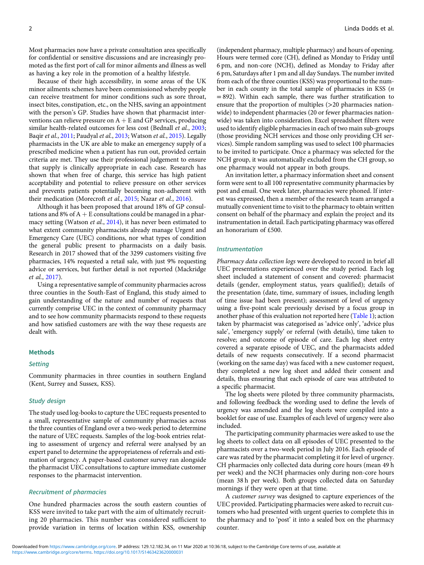Most pharmacies now have a private consultation area specifically for confidential or sensitive discussions and are increasingly promoted as the first port of call for minor ailments and illness as well as having a key role in the promotion of a healthy lifestyle.

Because of their high accessibility, in some areas of the UK minor ailments schemes have been commissioned whereby people can receive treatment for minor conditions such as sore throat, insect bites, constipation, etc., on the NHS, saving an appointment with the person's GP. Studies have shown that pharmacist interventions can relieve pressure on  $A + E$  and GP services, producing similar health-related outcomes for less cost (Bednall et al., 2003; Baqir et al., 2011; Paudyal et al., 2013; Watson et al., 2015). Legally pharmacists in the UK are able to make an emergency supply of a prescribed medicine when a patient has run out, provided certain criteria are met. They use their professional judgement to ensure that supply is clinically appropriate in each case. Research has shown that when free of charge, this service has high patient acceptability and potential to relieve pressure on other services and prevents patients potentially becoming non-adherent with their medication (Morecroft et al., 2015; Nazar et al., 2016).

Although it has been proposed that around 18% of GP consultations and 8% of  $A + E$  consultations could be managed in a pharmacy setting (Watson et al., 2014), it has never been estimated to what extent community pharmacists already manage Urgent and Emergency Care (UEC) conditions, nor what types of condition the general public present to pharmacists on a daily basis. Research in 2017 showed that of the 3299 customers visiting five pharmacies, 14% requested a retail sale, with just 9% requesting advice or services, but further detail is not reported (Mackridge et al., 2017).

Using a representative sample of community pharmacies across three counties in the South-East of England, this study aimed to gain understanding of the nature and number of requests that currently comprise UEC in the context of community pharmacy and to see how community pharmacists respond to these requests and how satisfied customers are with the way these requests are dealt with.

#### Methods

#### **Setting**

Community pharmacies in three counties in southern England (Kent, Surrey and Sussex, KSS).

#### Study design

The study used log-books to capture the UEC requests presented to a small, representative sample of community pharmacies across the three counties of England over a two-week period to determine the nature of UEC requests. Samples of the log-book entries relating to assessment of urgency and referral were analysed by an expert panel to determine the appropriateness of referrals and estimation of urgency. A paper-based customer survey ran alongside the pharmacist UEC consultations to capture immediate customer responses to the pharmacist intervention.

#### Recruitment of pharmacies

One hundred pharmacies across the south eastern counties of KSS were invited to take part with the aim of ultimately recruiting 20 pharmacies. This number was considered sufficient to provide variation in terms of location within KSS, ownership

(independent pharmacy, multiple pharmacy) and hours of opening. Hours were termed core (CH), defined as Monday to Friday until 6 pm, and non-core (NCH), defined as Monday to Friday after 6 pm, Saturdays after 1 pm and all day Sundays. The number invited from each of the three counties (KSS) was proportional to the number in each county in the total sample of pharmacies in KSS  $(n)$ = 892). Within each sample, there was further stratification to ensure that the proportion of multiples (>20 pharmacies nationwide) to independent pharmacies (20 or fewer pharmacies nationwide) was taken into consideration. Excel spreadsheet filters were used to identify eligible pharmacies in each of two main sub-groups (those providing NCH services and those only providing CH services). Simple random sampling was used to select 100 pharmacies to be invited to participate. Once a pharmacy was selected for the NCH group, it was automatically excluded from the CH group, so one pharmacy would not appear in both groups.

An invitation letter, a pharmacy information sheet and consent form were sent to all 100 representative community pharmacies by post and email. One week later, pharmacies were phoned. If interest was expressed, then a member of the research team arranged a mutually convenient time to visit to the pharmacy to obtain written consent on behalf of the pharmacy and explain the project and its instrumentation in detail. Each participating pharmacy was offered an honorarium of £500.

#### Instrumentation

Pharmacy data collection logs were developed to record in brief all UEC presentations experienced over the study period. Each log sheet included a statement of consent and covered: pharmacist details (gender, employment status, years qualified); details of the presentation (date, time, summary of issues, including length of time issue had been present); assessment of level of urgency using a five-point scale previously devised by a focus group in another phase of this evaluation not reported here (Table 1); action taken by pharmacist was categorised as 'advice only', 'advice plus sale', 'emergency supply' or referral (with details), time taken to resolve; and outcome of episode of care. Each log sheet entry covered a separate episode of UEC, and the pharmacists added details of new requests consecutively. If a second pharmacist (working on the same day) was faced with a new customer request, they completed a new log sheet and added their consent and details, thus ensuring that each episode of care was attributed to a specific pharmacist.

The log sheets were piloted by three community pharmacists, and following feedback the wording used to define the levels of urgency was amended and the log sheets were compiled into a booklet for ease of use. Examples of each level of urgency were also included.

The participating community pharmacies were asked to use the log sheets to collect data on all episodes of UEC presented to the pharmacists over a two-week period in July 2016. Each episode of care was rated by the pharmacist completing it for level of urgency. CH pharmacies only collected data during core hours (mean 49 h per week) and the NCH pharmacies only during non-core hours (mean 38 h per week). Both groups collected data on Saturday mornings if they were open at that time.

A customer survey was designed to capture experiences of the UEC provided. Participating pharmacies were asked to recruit customers who had presented with urgent queries to complete this in the pharmacy and to 'post' it into a sealed box on the pharmacy counter.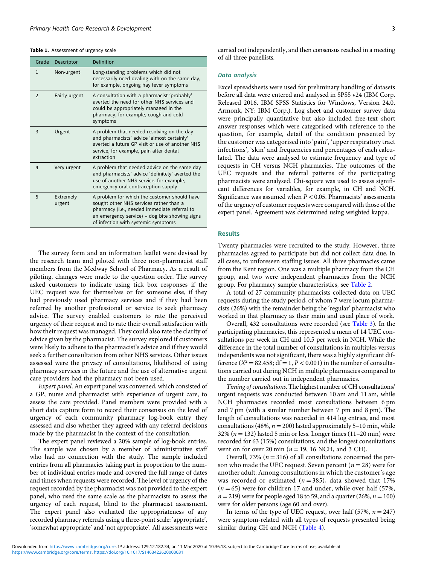#### Table 1. Assessment of urgency scale

| Grade         | Descriptor          | Definition                                                                                                                                                                                                                       |
|---------------|---------------------|----------------------------------------------------------------------------------------------------------------------------------------------------------------------------------------------------------------------------------|
| $\mathbf{1}$  | Non-urgent          | Long-standing problems which did not<br>necessarily need dealing with on the same day,<br>for example, ongoing hay fever symptoms                                                                                                |
| $\mathcal{P}$ | Fairly urgent       | A consultation with a pharmacist 'probably'<br>averted the need for other NHS services and<br>could be appropriately managed in the<br>pharmacy, for example, cough and cold<br>symptoms                                         |
| 3             | Urgent              | A problem that needed resolving on the day<br>and pharmacists' advice 'almost certainly'<br>averted a future GP visit or use of another NHS<br>service, for example, pain after dental<br>extraction                             |
| 4             | Very urgent         | A problem that needed advice on the same day<br>and pharmacists' advice 'definitely' averted the<br>use of another NHS service, for example,<br>emergency oral contraception supply                                              |
| 5             | Extremely<br>urgent | A problem for which the customer should have<br>sought other NHS services rather than a<br>pharmacy (i.e., needed immediate referral to<br>an emergency service) - dog bite showing signs<br>of infection with systemic symptoms |

The survey form and an information leaflet were devised by the research team and piloted with three non-pharmacist staff members from the Medway School of Pharmacy. As a result of piloting, changes were made to the question order. The survey asked customers to indicate using tick box responses if the UEC request was for themselves or for someone else, if they had previously used pharmacy services and if they had been referred by another professional or service to seek pharmacy advice. The survey enabled customers to rate the perceived urgency of their request and to rate their overall satisfaction with how their request was managed. They could also rate the clarity of advice given by the pharmacist. The survey explored if customers were likely to adhere to the pharmacist's advice and if they would seek a further consultation from other NHS services. Other issues assessed were the privacy of consultations, likelihood of using pharmacy services in the future and the use of alternative urgent care providers had the pharmacy not been used.

Expert panel. An expert panel was convened, which consisted of a GP, nurse and pharmacist with experience of urgent care, to assess the care provided. Panel members were provided with a short data capture form to record their consensus on the level of urgency of each community pharmacy log-book entry they assessed and also whether they agreed with any referral decisions made by the pharmacist in the context of the consultation.

The expert panel reviewed a 20% sample of log-book entries. The sample was chosen by a member of administrative staff who had no connection with the study. The sample included entries from all pharmacies taking part in proportion to the number of individual entries made and covered the full range of dates and times when requests were recorded. The level of urgency of the request recorded by the pharmacist was not provided to the expert panel, who used the same scale as the pharmacists to assess the urgency of each request, blind to the pharmacist assessment. The expert panel also evaluated the appropriateness of any recorded pharmacy referrals using a three-point scale: 'appropriate', 'somewhat appropriate' and 'not appropriate'. All assessments were

carried out independently, and then consensus reached in a meeting of all three panellists.

#### Data analysis

Excel spreadsheets were used for preliminary handling of datasets before all data were entered and analysed in SPSS v24 (IBM Corp. Released 2016. IBM SPSS Statistics for Windows, Version 24.0. Armonk, NY: IBM Corp.). Log sheet and customer survey data were principally quantitative but also included free-text short answer responses which were categorised with reference to the question, for example, detail of the condition presented by the customer was categorised into 'pain', 'upper respiratory tract infections', 'skin' and frequencies and percentages of each calculated. The data were analysed to estimate frequency and type of requests in CH versus NCH pharmacies. The outcomes of the UEC requests and the referral patterns of the participating pharmacists were analysed. Chi-square was used to assess significant differences for variables, for example, in CH and NCH. Significance was assumed when  $P < 0.05$ . Pharmacists' assessments of the urgency of customer requests were compared with those of the expert panel. Agreement was determined using weighted kappa.

#### Results

Twenty pharmacies were recruited to the study. However, three pharmacies agreed to participate but did not collect data due, in all cases, to unforeseen staffing issues. All three pharmacies came from the Kent region. One was a multiple pharmacy from the CH group, and two were independent pharmacies from the NCH group. For pharmacy sample characteristics, see Table 2.

A total of 27 community pharmacists collected data on UEC requests during the study period, of whom 7 were locum pharmacists (26%) with the remainder being the 'regular' pharmacist who worked in that pharmacy as their main and usual place of work.

Overall, 432 consultations were recorded (see Table 3). In the participating pharmacies, this represented a mean of 14 UEC consultations per week in CH and 10.5 per week in NCH. While the difference in the total number of consultations in multiples versus independents was not significant, there was a highly significant difference  $(X^2 = 82.458$ ;  $df = 1, P < 0.001$ ) in the number of consultations carried out during NCH in multiple pharmacies compared to the number carried out in independent pharmacies.

Timing of consultations. The highest number of CH consultations/ urgent requests was conducted between 10 am and 11 am, while NCH pharmacies recorded most consultations between 6 pm and 7 pm (with a similar number between 7 pm and 8 pm). The length of consultations was recorded in 414 log entries, and most consultations (48%,  $n = 200$ ) lasted approximately 5-10 min, while 32% ( $n = 132$ ) lasted 5 min or less. Longer times (11-20 min) were recorded for 63 (15%) consultations, and the longest consultations went on for over 20 min ( $n = 19$ , 16 NCH, and 3 CH).

Overall, 73% ( $n = 316$ ) of all consultations concerned the person who made the UEC request. Seven percent ( $n = 28$ ) were for another adult. Among consultations in which the customer's age was recorded or estimated ( $n = 385$ ), data showed that 17%  $(n = 65)$  were for children 17 and under, while over half (57%,  $n = 219$ ) were for people aged 18 to 59, and a quarter (26%,  $n = 100$ ) were for older persons (age 60 and over).

In terms of the type of UEC request, over half (57%,  $n = 247$ ) were symptom-related with all types of requests presented being similar during CH and NCH (Table 4).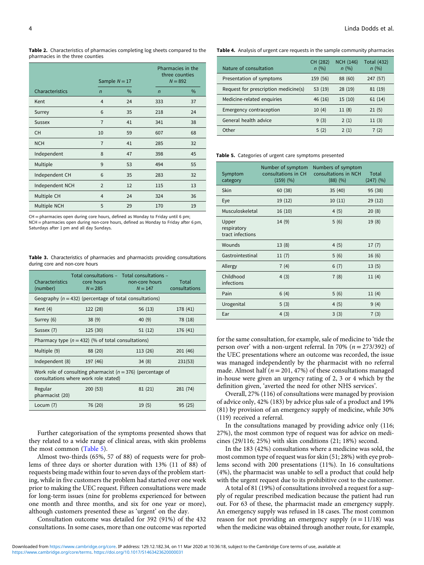Table 2. Characteristics of pharmacies completing log sheets compared to the pharmacies in the three counties

|                 | Sample $N = 17$ |      |                | Pharmacies in the<br>three counties<br>$N = 892$ |  |
|-----------------|-----------------|------|----------------|--------------------------------------------------|--|
| Characteristics | $\overline{n}$  | $\%$ | $\overline{n}$ | $\%$                                             |  |
| Kent            | 4               | 24   | 333            | 37                                               |  |
| Surrey          | 6               | 35   | 218            | 24                                               |  |
| <b>Sussex</b>   | $\overline{7}$  | 41   | 341            | 38                                               |  |
| <b>CH</b>       | 10              | 59   | 607            | 68                                               |  |
| <b>NCH</b>      | $\overline{7}$  | 41   | 285            | 32                                               |  |
| Independent     | 8               | 47   | 398            | 45                                               |  |
| Multiple        | 9               | 53   | 494            | 55                                               |  |
| Independent CH  | 6               | 35   | 283            | 32                                               |  |
| Independent NCH | $\overline{2}$  | 12   | 115            | 13                                               |  |
| Multiple CH     | $\overline{4}$  | 24   | 324            | 36                                               |  |
| Multiple NCH    | 5               | 29   | 170            | 19                                               |  |

CH = pharmacies open during core hours, defined as Monday to Friday until 6 pm; NCH = pharmacies open during non-core hours, defined as Monday to Friday after 6 pm, Saturdays after 1 pm and all day Sundays.

| <b>Table 3.</b> Characteristics of pharmacies and pharmacists providing consultations |  |  |  |
|---------------------------------------------------------------------------------------|--|--|--|
| during core and non-core hours                                                        |  |  |  |

| <b>Characteristics</b><br>(number)                                                                       | Total consultations - Total consultations -<br>core hours<br>$N = 285$ | non-core hours<br>$N = 147$ | Total<br>consultations |  |  |  |
|----------------------------------------------------------------------------------------------------------|------------------------------------------------------------------------|-----------------------------|------------------------|--|--|--|
|                                                                                                          | Geography ( $n = 432$ ) (percentage of total consultations)            |                             |                        |  |  |  |
| Kent $(4)$                                                                                               | 122 (28)                                                               | 56 (13)                     | 178 (41)               |  |  |  |
| Surrey (6)                                                                                               | 38(9)                                                                  | 40(9)                       | 78 (18)                |  |  |  |
| Sussex (7)                                                                                               | 125 (30)                                                               | 51 (12)                     | 176 (41)               |  |  |  |
|                                                                                                          | Pharmacy type ( $n = 432$ ) (% of total consultations)                 |                             |                        |  |  |  |
| Multiple (9)                                                                                             | 88 (20)                                                                | 113 (26)                    | 201(46)                |  |  |  |
| Independent (8)                                                                                          | 197 (46)                                                               | 34(8)                       | 231(53)                |  |  |  |
| Work role of consulting pharmacist ( $n = 376$ ) (percentage of<br>consultations where work role stated) |                                                                        |                             |                        |  |  |  |
| Regular<br>pharmacist (20)                                                                               | 200(53)                                                                | 81 (21)                     | 281 (74)               |  |  |  |
| Locum $(7)$                                                                                              | 76 (20)                                                                | 19(5)                       | 95(25)                 |  |  |  |

Further categorisation of the symptoms presented shows that they related to a wide range of clinical areas, with skin problems the most common (Table 5).

Almost two-thirds (65%, 57 of 88) of requests were for problems of three days or shorter duration with 13% (11 of 88) of requests being made within four to seven days of the problem starting, while in five customers the problem had started over one week prior to making the UEC request. Fifteen consultations were made for long-term issues (nine for problems experienced for between one month and three months, and six for one year or more), although customers presented these as 'urgent' on the day.

Consultation outcome was detailed for 392 (91%) of the 432 consultations. In some cases, more than one outcome was reported Table 4. Analysis of urgent care requests in the sample community pharmacies

| Nature of consultation               | CH (282)<br>n(%) | <b>NCH (146)</b><br>n(%) | <b>Total (432)</b><br>n(%) |
|--------------------------------------|------------------|--------------------------|----------------------------|
| Presentation of symptoms             | 159 (56)         | 88 (60)                  | 247 (57)                   |
| Request for prescription medicine(s) | 53 (19)          | 28(19)                   | 81 (19)                    |
| Medicine-related enquiries           | 46 (16)          | 15(10)                   | 61(14)                     |
| <b>Emergency contraception</b>       | 10(4)            | 11(8)                    | 21(5)                      |
| General health advice                | 9(3)             | 2(1)                     | 11(3)                      |
| Other                                | 5(2)             | 2(1)                     | 7(2)                       |

Table 5. Categories of urgent care symptoms presented

| Symptom<br>category                      | Number of symptom<br>consultations in CH<br>$(159)$ $(%$ | Numbers of symptom<br>consultations in NCH<br>$(88)$ $(%$ | Total<br>$(247)$ $(%$ |
|------------------------------------------|----------------------------------------------------------|-----------------------------------------------------------|-----------------------|
| Skin                                     | 60 (38)                                                  | 35(40)                                                    | 95 (38)               |
| Eye                                      | 19(12)                                                   | 10(11)                                                    | 29(12)                |
| Musculoskeletal                          | 16(10)                                                   | 4(5)                                                      | 20(8)                 |
| Upper<br>respiratory<br>tract infections | 14(9)                                                    | 5(6)                                                      | 19(8)                 |
| Wounds                                   | 13(8)                                                    | 4(5)                                                      | 17(7)                 |
| Gastrointestinal                         | 11(7)                                                    | 5(6)                                                      | 16(6)                 |
| Allergy                                  | 7(4)                                                     | 6(7)                                                      | 13(5)                 |
| Childhood<br>infections                  | 4(3)                                                     | 7(8)                                                      | 11(4)                 |
| Pain                                     | 6(4)                                                     | 5(6)                                                      | 11(4)                 |
| Urogenital                               | 5(3)                                                     | 4(5)                                                      | 9(4)                  |
| Ear                                      | 4(3)                                                     | 3(3)                                                      | 7(3)                  |

for the same consultation, for example, sale of medicine to 'tide the person over' with a non-urgent referral. In 70% ( $n = 273/392$ ) of the UEC presentations where an outcome was recorded, the issue was managed independently by the pharmacist with no referral made. Almost half ( $n = 201, 47\%$ ) of these consultations managed in-house were given an urgency rating of 2, 3 or 4 which by the definition given, 'averted the need for other NHS services'.

Overall, 27% (116) of consultations were managed by provision of advice only, 42% (183) by advice plus sale of a product and 19% (81) by provision of an emergency supply of medicine, while 30% (119) received a referral.

In the consultations managed by providing advice only (116; 27%), the most common type of request was for advice on medicines (29/116; 25%) with skin conditions (21; 18%) second.

In the 183 (42%) consultations where a medicine was sold, the most common type of request was for skin (51; 28%) with eye problems second with 200 presentations (11%). In 16 consultations (4%), the pharmacist was unable to sell a product that could help with the urgent request due to its prohibitive cost to the customer.

A total of 81 (19%) of consultations involved a request for a supply of regular prescribed medication because the patient had run out. For 63 of these, the pharmacist made an emergency supply. An emergency supply was refused in 18 cases. The most common reason for not providing an emergency supply  $(n = 11/18)$  was when the medicine was obtained through another route, for example,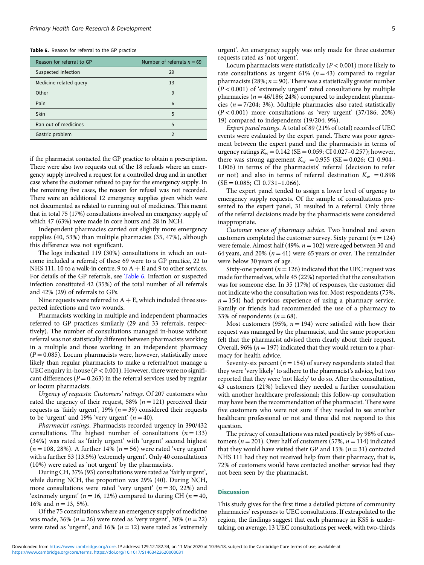Table 6. Reason for referral to the GP practice

| Reason for referral to GP | Number of referrals $n = 69$ |
|---------------------------|------------------------------|
| Suspected infection       | 29                           |
| Medicine-related query    | 13                           |
| Other                     | 9                            |
| Pain                      | 6                            |
| Skin                      | 5                            |
| Ran out of medicines      | 5                            |
| Gastric problem           | $\mathcal{P}$                |

if the pharmacist contacted the GP practice to obtain a prescription. There were also two requests out of the 18 refusals where an emergency supply involved a request for a controlled drug and in another case where the customer refused to pay for the emergency supply. In the remaining five cases, the reason for refusal was not recorded. There were an additional 12 emergency supplies given which were not documented as related to running out of medicines. This meant that in total 75 (17%) consultations involved an emergency supply of which 47 (63%) were made in core hours and 28 in NCH.

Independent pharmacies carried out slightly more emergency supplies (40, 53%) than multiple pharmacies (35, 47%), although this difference was not significant.

The logs indicated 119 (30%) consultations in which an outcome included a referral; of these 69 were to a GP practice, 22 to NHS 111, 10 to a walk-in centre, 9 to  $A + E$  and 9 to other services. For details of the GP referrals, see Table 6. Infection or suspected infection constituted 42 (35%) of the total number of all referrals and 42% (29) of referrals to GPs.

Nine requests were referred to  $A + E$ , which included three suspected infections and two wounds.

Pharmacists working in multiple and independent pharmacies referred to GP practices similarly (29 and 33 referrals, respectively). The number of consultations managed in-house without referral was not statistically different between pharmacists working in a multiple and those working in an independent pharmacy  $(P = 0.085)$ . Locum pharmacists were, however, statistically more likely than regular pharmacists to make a referral/not manage a UEC enquiry in-house ( $P < 0.001$ ). However, there were no significant differences ( $P = 0.263$ ) in the referral services used by regular or locum pharmacists.

Urgency of requests: Customers' ratings. Of 207 customers who rated the urgency of their request, 58% ( $n = 121$ ) perceived their requests as 'fairly urgent', 19% ( $n = 39$ ) considered their requests to be 'urgent' and 19% 'very urgent'  $(n = 40)$ .

Pharmacist ratings. Pharmacists recorded urgency in 390/432 consultations. The highest number of consultations  $(n = 133)$ (34%) was rated as 'fairly urgent' with 'urgent' second highest  $(n = 108, 28\%)$ . A further 14%  $(n = 56)$  were rated 'very urgent' with a further 53 (13.5%) 'extremely urgent'. Only 40 consultations (10%) were rated as 'not urgent' by the pharmacists.

During CH, 37% (93) consultations were rated as 'fairly urgent', while during NCH, the proportion was 29% (40). During NCH, more consultations were rated 'very urgent'  $(n = 30, 22%)$  and 'extremely urgent' ( $n = 16$ , 12%) compared to during CH ( $n = 40$ , 16% and  $n = 13, 5\%$ ).

Of the 75 consultations where an emergency supply of medicine was made, 36% ( $n = 26$ ) were rated as 'very urgent', 30% ( $n = 22$ ) were rated as 'urgent', and 16% ( $n = 12$ ) were rated as 'extremely

Locum pharmacists were statistically ( $P < 0.001$ ) more likely to rate consultations as urgent 61% ( $n = 43$ ) compared to regular pharmacists (28%;  $n = 90$ ). There was a statistically greater number  $(P < 0.001)$  of 'extremely urgent' rated consultations by multiple pharmacies ( $n = 46/186$ ; 24%) compared to independent pharmacies ( $n = 7/204$ ; 3%). Multiple pharmacies also rated statistically  $(P < 0.001)$  more consultations as 'very urgent'  $(37/186; 20%)$ 19) compared to independents (19/204; 9%).

Expert panel ratings. A total of 89 (21% of total) records of UEC events were evaluated by the expert panel. There was poor agreement between the expert panel and the pharmacists in terms of urgency ratings  $K_w = 0.142$  (SE = 0.059; CI 0.027-0.257); however, there was strong agreement  $K_w = 0.955$  (SE = 0.026; CI 0.904– 1.006) in terms of the pharmacists' referral (decision to refer or not) and also in terms of referral destination  $K_w = 0.898$  $(SE = 0.085; CI 0.731 - 1.066).$ 

The expert panel tended to assign a lower level of urgency to emergency supply requests. Of the sample of consultations presented to the expert panel, 31 resulted in a referral. Only three of the referral decisions made by the pharmacists were considered inappropriate.

Customer views of pharmacy advice. Two hundred and seven customers completed the customer survey. Sixty percent ( $n = 124$ ) were female. Almost half (49%,  $n = 102$ ) were aged between 30 and 64 years, and 20% ( $n = 41$ ) were 65 years or over. The remainder were below 30 years of age.

Sixty-one percent ( $n = 126$ ) indicated that the UEC request was made for themselves, while 45 (22%) reported that the consultation was for someone else. In 35 (17%) of responses, the customer did not indicate who the consultation was for. Most respondents (75%,  $n = 154$ ) had previous experience of using a pharmacy service. Family or friends had recommended the use of a pharmacy to 33% of respondents  $(n = 68)$ .

Most customers (95%,  $n = 194$ ) were satisfied with how their request was managed by the pharmacist, and the same proportion felt that the pharmacist advised them clearly about their request. Overall, 96% ( $n = 197$ ) indicated that they would return to a pharmacy for health advice.

Seventy-six percent ( $n = 154$ ) of survey respondents stated that they were 'very likely' to adhere to the pharmacist's advice, but two reported that they were 'not likely' to do so. After the consultation, 43 customers (21%) believed they needed a further consultation with another healthcare professional; this follow-up consultation may have been the recommendation of the pharmacist. There were five customers who were not sure if they needed to see another healthcare professional or not and three did not respond to this question.

The privacy of consultations was rated positively by 98% of customers ( $n = 201$ ). Over half of customers (57%,  $n = 114$ ) indicated that they would have visited their GP and 15% ( $n = 31$ ) contacted NHS 111 had they not received help from their pharmacy, that is, 72% of customers would have contacted another service had they not been seen by the pharmacist.

#### Discussion

This study gives for the first time a detailed picture of community pharmacies' responses to UEC consultations. If extrapolated to the region, the findings suggest that each pharmacy in KSS is undertaking, on average, 13 UEC consultations per week, with two-thirds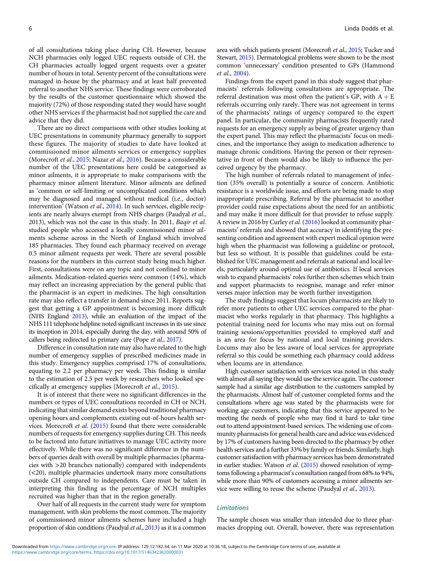of all consultations taking place during CH. However, because NCH pharmacies only logged UEC requests outside of CH, the CH pharmacies actually logged urgent requests over a greater number of hours in total. Seventy percent of the consultations were managed in-house by the pharmacy and at least half prevented referral to another NHS service. These findings were corroborated by the results of the customer questionnaire which showed the majority (72%) of those responding stated they would have sought other NHS services if the pharmacist had not supplied the care and advice that they did.

There are no direct comparisons with other studies looking at UEC presentations in community pharmacy generally to support these figures. The majority of studies to date have looked at commissioned minor ailments services or emergency supplies (Morecroft et al., 2015; Nazar et al., 2016). Because a considerable number of the UEC presentations here could be categorised as minor ailments, it is appropriate to make comparisons with the pharmacy minor ailment literature. Minor ailments are defined as 'common or self-limiting or uncomplicated conditions which may be diagnosed and managed without medical (i.e., doctor) intervention' (Watson et al., 2014). In such services, eligible recipients are nearly always exempt from NHS charges (Paudyal et al., 2013), which was not the case in this study. In 2011, Baqir et al. studied people who accessed a locally commissioned minor ailments scheme across in the North of England which involved 185 pharmacies. They found each pharmacy received on average 0.5 minor ailment requests per week. There are several possible reasons for the numbers in this current study being much higher. First, consultations were on any topic and not confined to minor ailments. Medication-related queries were common (14%), which may reflect an increasing appreciation by the general public that the pharmacist is an expert in medicines. The high consultation rate may also reflect a transfer in demand since 2011. Reports suggest that getting a GP appointment is becoming more difficult (NHS England 2013), while an evaluation of the impact of the NHS 111 telephone helpline noted significant increases in its use since its inception in 2014, especially during the day, with around 50% of callers being redirected to primary care (Pope et al., 2017).

Difference in consultation rate may also have related to the high number of emergency supplies of prescribed medicines made in this study. Emergency supplies comprised 17% of consultations, equating to 2.2 per pharmacy per week. This finding is similar to the estimation of 2.5 per week by researchers who looked specifically at emergency supplies (Morecroft et al., 2015).

It is of interest that there were no significant differences in the numbers or types of UEC consultations recorded in CH or NCH, indicating that similar demand exists beyond traditional pharmacy opening hours and complements existing out-of-hours health services. Morecroft et al. (2015) found that there were considerable numbers of requests for emergency supplies during CH. This needs to be factored into future initiatives to manage UEC activity more effectively. While there was no significant difference in the numbers of queries dealt with overall by multiple pharmacies (pharmacies with >20 branches nationally) compared with independents (<20), multiple pharmacies undertook many more consultations outside CH compared to independents. Care must be taken in interpreting this finding as the percentage of NCH multiples recruited was higher than that in the region generally.

Over half of all requests in the current study were for symptom management, with skin problems the most common. The majority of commissioned minor ailments schemes have included a high proportion of skin conditions (Paudyal et al., 2013) as it is a common area with which patients present (Morecroft et al., 2015; Tucker and Stewart, 2015). Dermatological problems were shown to be the most common 'unnecessary' condition presented to GPs (Hammond et al., 2004).

Findings from the expert panel in this study suggest that pharmacists' referrals following consultations are appropriate. The referral destination was most often the patient's GP, with  $A + E$ referrals occurring only rarely. There was not agreement in terms of the pharmacists' ratings of urgency compared to the expert panel. In particular, the community pharmacists frequently rated requests for an emergency supply as being of greater urgency than the expert panel. This may reflect the pharmacists' focus on medicines, and the importance they assign to medication adherence to manage chronic conditions. Having the person or their representative in front of them would also be likely to influence the perceived urgency by the pharmacy.

The high number of referrals related to management of infection (35% overall) is potentially a source of concern. Antibiotic resistance is a worldwide issue, and efforts are being made to stop inappropriate prescribing. Referral by the pharmacist to another provider could raise expectations about the need for an antibiotic and may make it more difficult for that provider to refuse supply. A review in 2016 by Curley et al. (2016) looked at community pharmacists' referrals and showed that accuracy in identifying the presenting condition and agreement with expert medical opinion were high when the pharmacist was following a guideline or protocol, but less so without. It is possible that guidelines could be established for UEC management and referrals at national and local levels, particularly around optimal use of antibiotics. If local services wish to expand pharmacists' roles further then schemes which train and support pharmacists to recognise, manage and refer minor verses major infection may be worth further investigation.

The study findings suggest that locum pharmacists are likely to refer more patients to other UEC services compared to the pharmacist who works regularly in that pharmacy. This highlights a potential training need for locums who may miss out on formal training sessions/opportunities provided to employed staff and is an area for focus by national and local training providers. Locums may also be less aware of local services for appropriate referral so this could be something each pharmacy could address when locums are in attendance.

High customer satisfaction with services was noted in this study with almost all saying they would use the service again. The customer sample had a similar age distribution to the customers sampled by the pharmacists. Almost half of customer completed forms and the consultations where age was stated by the pharmacists were for working age customers, indicating that this service appeared to be meeting the needs of people who may find it hard to take time out to attend appointment-based services. The widening use of community pharmacists for general health care and advice was evidenced by 17% of customers having been directed to the pharmacy by other health services and a further 33% by family or friends. Similarly, high customer satisfaction with pharmacy services has been demonstrated in earlier studies: Watson et al. (2015) showed resolution of symptoms following a pharmacist's consultation ranged from 68% to 94%, while more than 90% of customers accessing a minor ailments service were willing to reuse the scheme (Paudyal et al., 2013).

#### Limitations

The sample chosen was smaller than intended due to three pharmacies dropping out. Overall, however, there was representation